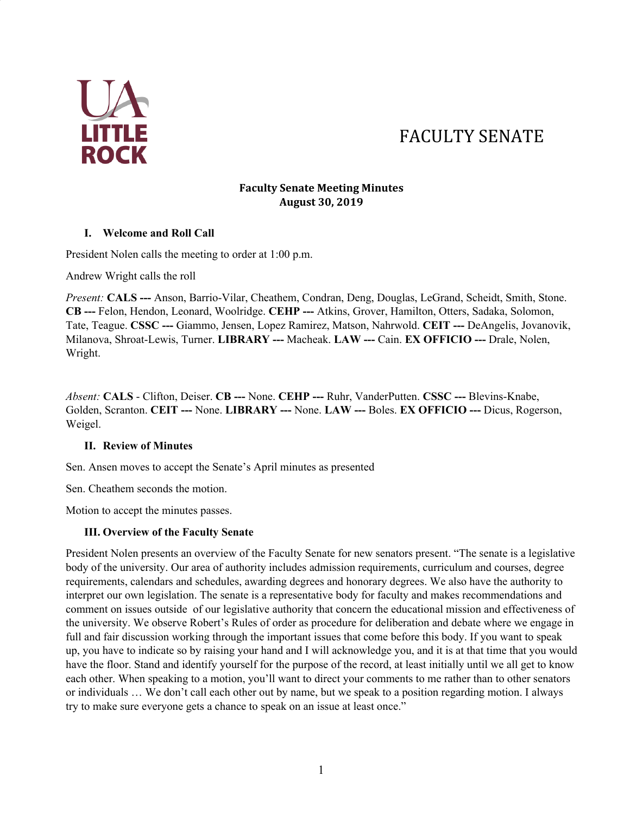

# FACULTY SENATE

#### **Faculty Senate Meeting Minutes August 30, 2019**

#### **I. Welcome and Roll Call**

President Nolen calls the meeting to order at 1:00 p.m.

Andrew Wright calls the roll

*Present:* **CALS ---** Anson, Barrio-Vilar, Cheathem, Condran, Deng, Douglas, LeGrand, Scheidt, Smith, Stone. **CB ---** Felon, Hendon, Leonard, Woolridge. **CEHP ---** Atkins, Grover, Hamilton, Otters, Sadaka, Solomon, Tate, Teague. **CSSC ---** Giammo, Jensen, Lopez Ramirez, Matson, Nahrwold. **CEIT ---** DeAngelis, Jovanovik, Milanova, Shroat-Lewis, Turner. **LIBRARY ---** Macheak. **LAW ---** Cain. **EX OFFICIO ---** Drale, Nolen, Wright.

*Absent:* **CALS** - Clifton, Deiser. **CB ---** None. **CEHP ---** Ruhr, VanderPutten. **CSSC ---** Blevins-Knabe, Golden, Scranton. **CEIT ---** None. **LIBRARY ---** None. **LAW ---** Boles. **EX OFFICIO ---** Dicus, Rogerson, Weigel.

### **II. Review of Minutes**

Sen. Ansen moves to accept the Senate's April minutes as presented

Sen. Cheathem seconds the motion.

Motion to accept the minutes passes.

#### **III. Overview of the Faculty Senate**

President Nolen presents an overview of the Faculty Senate for new senators present. "The senate is a legislative body of the university. Our area of authority includes admission requirements, curriculum and courses, degree requirements, calendars and schedules, awarding degrees and honorary degrees. We also have the authority to interpret our own legislation. The senate is a representative body for faculty and makes recommendations and comment on issues outside of our legislative authority that concern the educational mission and effectiveness of the university. We observe Robert's Rules of order as procedure for deliberation and debate where we engage in full and fair discussion working through the important issues that come before this body. If you want to speak up, you have to indicate so by raising your hand and I will acknowledge you, and it is at that time that you would have the floor. Stand and identify yourself for the purpose of the record, at least initially until we all get to know each other. When speaking to a motion, you'll want to direct your comments to me rather than to other senators or individuals … We don't call each other out by name, but we speak to a position regarding motion. I always try to make sure everyone gets a chance to speak on an issue at least once."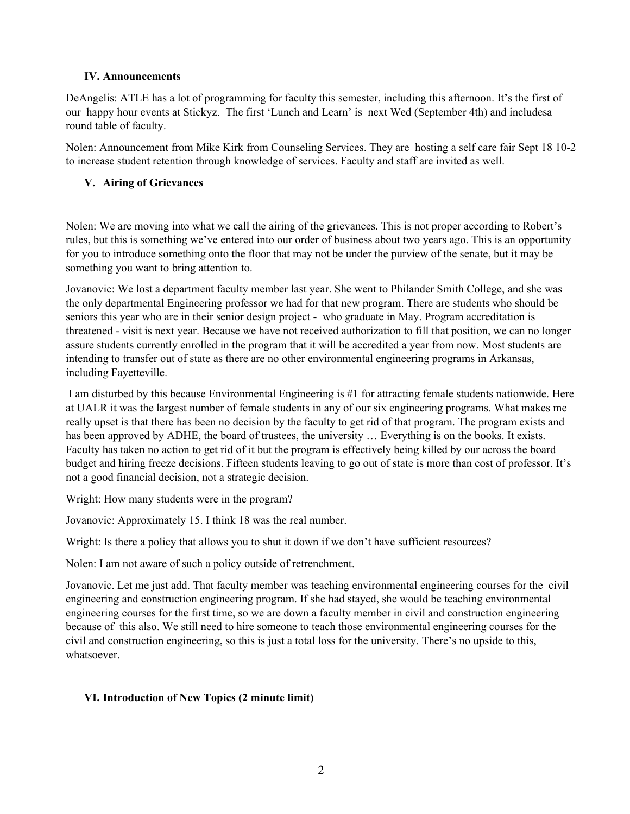#### **IV. Announcements**

DeAngelis: ATLE has a lot of programming for faculty this semester, including this afternoon. It's the first of our happy hour events at Stickyz. The first 'Lunch and Learn' is next Wed (September 4th) and includesa round table of faculty.

Nolen: Announcement from Mike Kirk from Counseling Services. They are hosting a self care fair Sept 18 10-2 to increase student retention through knowledge of services. Faculty and staff are invited as well.

### **V. Airing of Grievances**

Nolen: We are moving into what we call the airing of the grievances. This is not proper according to Robert's rules, but this is something we've entered into our order of business about two years ago. This is an opportunity for you to introduce something onto the floor that may not be under the purview of the senate, but it may be something you want to bring attention to.

Jovanovic: We lost a department faculty member last year. She went to Philander Smith College, and she was the only departmental Engineering professor we had for that new program. There are students who should be seniors this year who are in their senior design project - who graduate in May. Program accreditation is threatened - visit is next year. Because we have not received authorization to fill that position, we can no longer assure students currently enrolled in the program that it will be accredited a year from now. Most students are intending to transfer out of state as there are no other environmental engineering programs in Arkansas, including Fayetteville.

I am disturbed by this because Environmental Engineering is #1 for attracting female students nationwide. Here at UALR it was the largest number of female students in any of our six engineering programs. What makes me really upset is that there has been no decision by the faculty to get rid of that program. The program exists and has been approved by ADHE, the board of trustees, the university ... Everything is on the books. It exists. Faculty has taken no action to get rid of it but the program is effectively being killed by our across the board budget and hiring freeze decisions. Fifteen students leaving to go out of state is more than cost of professor. It's not a good financial decision, not a strategic decision.

Wright: How many students were in the program?

Jovanovic: Approximately 15. I think 18 was the real number.

Wright: Is there a policy that allows you to shut it down if we don't have sufficient resources?

Nolen: I am not aware of such a policy outside of retrenchment.

Jovanovic. Let me just add. That faculty member was teaching environmental engineering courses for the civil engineering and construction engineering program. If she had stayed, she would be teaching environmental engineering courses for the first time, so we are down a faculty member in civil and construction engineering because of this also. We still need to hire someone to teach those environmental engineering courses for the civil and construction engineering, so this is just a total loss for the university. There's no upside to this, whatsoever.

### **VI. Introduction of New Topics (2 minute limit)**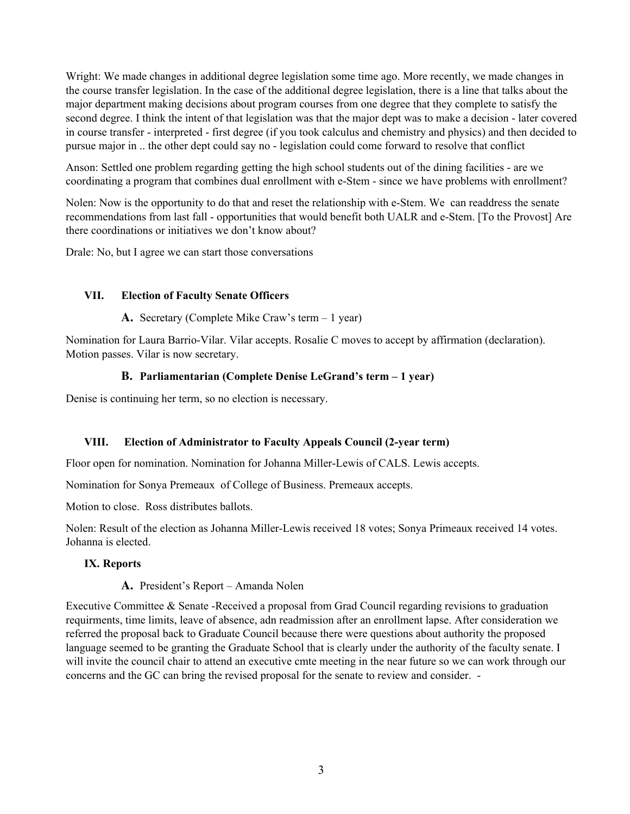Wright: We made changes in additional degree legislation some time ago. More recently, we made changes in the course transfer legislation. In the case of the additional degree legislation, there is a line that talks about the major department making decisions about program courses from one degree that they complete to satisfy the second degree. I think the intent of that legislation was that the major dept was to make a decision - later covered in course transfer - interpreted - first degree (if you took calculus and chemistry and physics) and then decided to pursue major in .. the other dept could say no - legislation could come forward to resolve that conflict

Anson: Settled one problem regarding getting the high school students out of the dining facilities - are we coordinating a program that combines dual enrollment with e-Stem - since we have problems with enrollment?

Nolen: Now is the opportunity to do that and reset the relationship with e-Stem. We can readdress the senate recommendations from last fall - opportunities that would benefit both UALR and e-Stem. [To the Provost] Are there coordinations or initiatives we don't know about?

Drale: No, but I agree we can start those conversations

#### **VII. Election of Faculty Senate Officers**

**A.** Secretary (Complete Mike Craw's term – 1 year)

Nomination for Laura Barrio-Vilar. Vilar accepts. Rosalie C moves to accept by affirmation (declaration). Motion passes. Vilar is now secretary.

### **B. Parliamentarian (Complete Denise LeGrand's term – 1 year)**

Denise is continuing her term, so no election is necessary.

#### **VIII. Election of Administrator to Faculty Appeals Council (2-year term)**

Floor open for nomination. Nomination for Johanna Miller-Lewis of CALS. Lewis accepts.

Nomination for Sonya Premeaux of College of Business. Premeaux accepts.

Motion to close. Ross distributes ballots.

Nolen: Result of the election as Johanna Miller-Lewis received 18 votes; Sonya Primeaux received 14 votes. Johanna is elected.

#### **IX. Reports**

#### **A.** President's Report – Amanda Nolen

Executive Committee & Senate -Received a proposal from Grad Council regarding revisions to graduation requirments, time limits, leave of absence, adn readmission after an enrollment lapse. After consideration we referred the proposal back to Graduate Council because there were questions about authority the proposed language seemed to be granting the Graduate School that is clearly under the authority of the faculty senate. I will invite the council chair to attend an executive cmte meeting in the near future so we can work through our concerns and the GC can bring the revised proposal for the senate to review and consider. -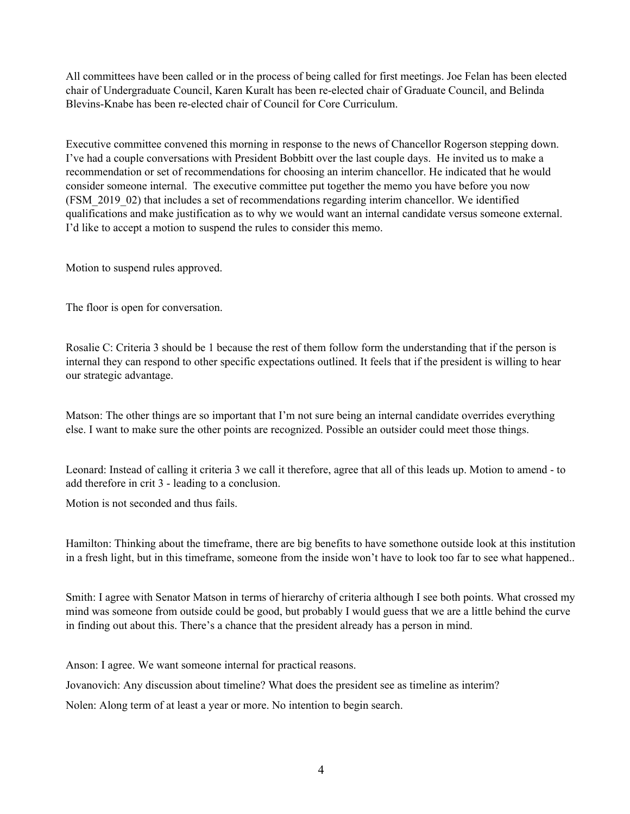All committees have been called or in the process of being called for first meetings. Joe Felan has been elected chair of Undergraduate Council, Karen Kuralt has been re-elected chair of Graduate Council, and Belinda Blevins-Knabe has been re-elected chair of Council for Core Curriculum.

Executive committee convened this morning in response to the news of Chancellor Rogerson stepping down. I've had a couple conversations with President Bobbitt over the last couple days. He invited us to make a recommendation or set of recommendations for choosing an interim chancellor. He indicated that he would consider someone internal. The executive committee put together the memo you have before you now (FSM\_2019\_02) that includes a set of recommendations regarding interim chancellor. We identified qualifications and make justification as to why we would want an internal candidate versus someone external. I'd like to accept a motion to suspend the rules to consider this memo.

Motion to suspend rules approved.

The floor is open for conversation.

Rosalie C: Criteria 3 should be 1 because the rest of them follow form the understanding that if the person is internal they can respond to other specific expectations outlined. It feels that if the president is willing to hear our strategic advantage.

Matson: The other things are so important that I'm not sure being an internal candidate overrides everything else. I want to make sure the other points are recognized. Possible an outsider could meet those things.

Leonard: Instead of calling it criteria 3 we call it therefore, agree that all of this leads up. Motion to amend - to add therefore in crit 3 - leading to a conclusion.

Motion is not seconded and thus fails.

Hamilton: Thinking about the timeframe, there are big benefits to have somethone outside look at this institution in a fresh light, but in this timeframe, someone from the inside won't have to look too far to see what happened..

Smith: I agree with Senator Matson in terms of hierarchy of criteria although I see both points. What crossed my mind was someone from outside could be good, but probably I would guess that we are a little behind the curve in finding out about this. There's a chance that the president already has a person in mind.

Anson: I agree. We want someone internal for practical reasons.

Jovanovich: Any discussion about timeline? What does the president see as timeline as interim?

Nolen: Along term of at least a year or more. No intention to begin search.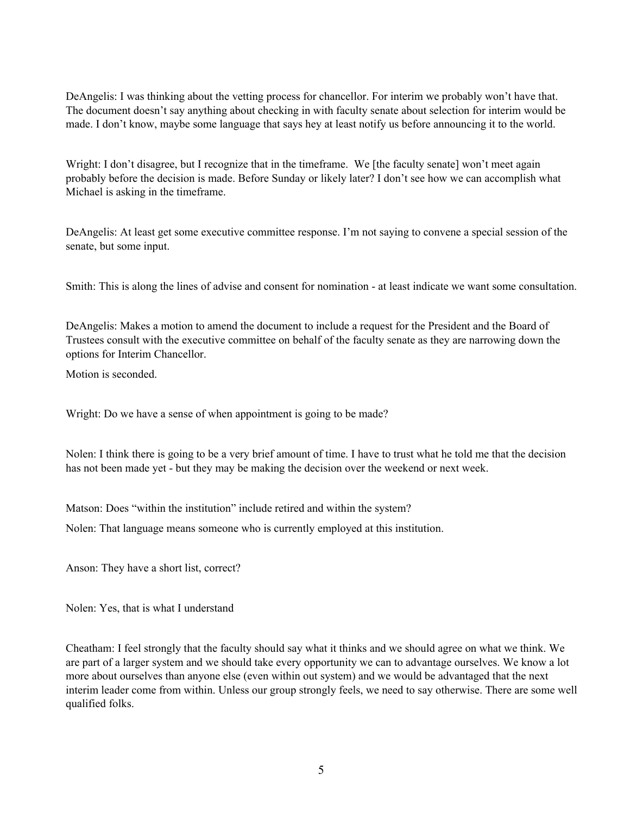DeAngelis: I was thinking about the vetting process for chancellor. For interim we probably won't have that. The document doesn't say anything about checking in with faculty senate about selection for interim would be made. I don't know, maybe some language that says hey at least notify us before announcing it to the world.

Wright: I don't disagree, but I recognize that in the timeframe. We [the faculty senate] won't meet again probably before the decision is made. Before Sunday or likely later? I don't see how we can accomplish what Michael is asking in the timeframe.

DeAngelis: At least get some executive committee response. I'm not saying to convene a special session of the senate, but some input.

Smith: This is along the lines of advise and consent for nomination - at least indicate we want some consultation.

DeAngelis: Makes a motion to amend the document to include a request for the President and the Board of Trustees consult with the executive committee on behalf of the faculty senate as they are narrowing down the options for Interim Chancellor.

Motion is seconded.

Wright: Do we have a sense of when appointment is going to be made?

Nolen: I think there is going to be a very brief amount of time. I have to trust what he told me that the decision has not been made yet - but they may be making the decision over the weekend or next week.

Matson: Does "within the institution" include retired and within the system?

Nolen: That language means someone who is currently employed at this institution.

Anson: They have a short list, correct?

Nolen: Yes, that is what I understand

Cheatham: I feel strongly that the faculty should say what it thinks and we should agree on what we think. We are part of a larger system and we should take every opportunity we can to advantage ourselves. We know a lot more about ourselves than anyone else (even within out system) and we would be advantaged that the next interim leader come from within. Unless our group strongly feels, we need to say otherwise. There are some well qualified folks.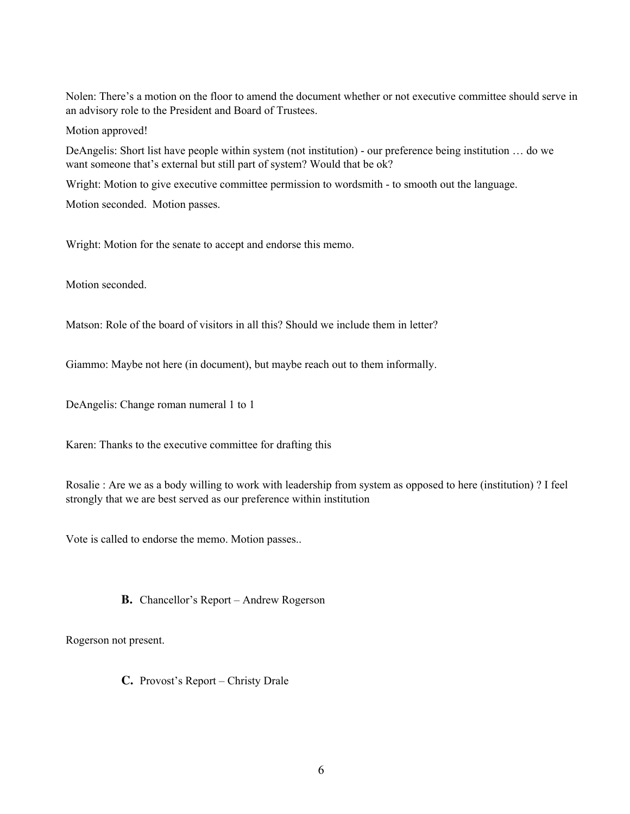Nolen: There's a motion on the floor to amend the document whether or not executive committee should serve in an advisory role to the President and Board of Trustees.

Motion approved!

DeAngelis: Short list have people within system (not institution) - our preference being institution … do we want someone that's external but still part of system? Would that be ok?

Wright: Motion to give executive committee permission to wordsmith - to smooth out the language.

Motion seconded. Motion passes.

Wright: Motion for the senate to accept and endorse this memo.

Motion seconded.

Matson: Role of the board of visitors in all this? Should we include them in letter?

Giammo: Maybe not here (in document), but maybe reach out to them informally.

DeAngelis: Change roman numeral 1 to 1

Karen: Thanks to the executive committee for drafting this

Rosalie : Are we as a body willing to work with leadership from system as opposed to here (institution) ? I feel strongly that we are best served as our preference within institution

Vote is called to endorse the memo. Motion passes..

**B.** Chancellor's Report – Andrew Rogerson

Rogerson not present.

**C.** Provost's Report – Christy Drale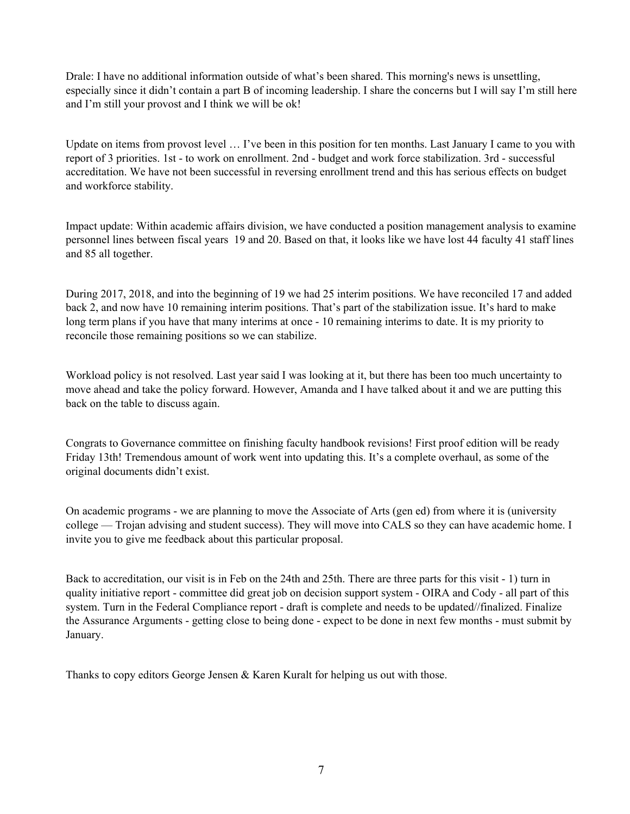Drale: I have no additional information outside of what's been shared. This morning's news is unsettling, especially since it didn't contain a part B of incoming leadership. I share the concerns but I will say I'm still here and I'm still your provost and I think we will be ok!

Update on items from provost level ... I've been in this position for ten months. Last January I came to you with report of 3 priorities. 1st - to work on enrollment. 2nd - budget and work force stabilization. 3rd - successful accreditation. We have not been successful in reversing enrollment trend and this has serious effects on budget and workforce stability.

Impact update: Within academic affairs division, we have conducted a position management analysis to examine personnel lines between fiscal years 19 and 20. Based on that, it looks like we have lost 44 faculty 41 staff lines and 85 all together.

During 2017, 2018, and into the beginning of 19 we had 25 interim positions. We have reconciled 17 and added back 2, and now have 10 remaining interim positions. That's part of the stabilization issue. It's hard to make long term plans if you have that many interims at once - 10 remaining interims to date. It is my priority to reconcile those remaining positions so we can stabilize.

Workload policy is not resolved. Last year said I was looking at it, but there has been too much uncertainty to move ahead and take the policy forward. However, Amanda and I have talked about it and we are putting this back on the table to discuss again.

Congrats to Governance committee on finishing faculty handbook revisions! First proof edition will be ready Friday 13th! Tremendous amount of work went into updating this. It's a complete overhaul, as some of the original documents didn't exist.

On academic programs - we are planning to move the Associate of Arts (gen ed) from where it is (university college — Trojan advising and student success). They will move into CALS so they can have academic home. I invite you to give me feedback about this particular proposal.

Back to accreditation, our visit is in Feb on the 24th and 25th. There are three parts for this visit - 1) turn in quality initiative report - committee did great job on decision support system - OIRA and Cody - all part of this system. Turn in the Federal Compliance report - draft is complete and needs to be updated//finalized. Finalize the Assurance Arguments - getting close to being done - expect to be done in next few months - must submit by January.

Thanks to copy editors George Jensen & Karen Kuralt for helping us out with those.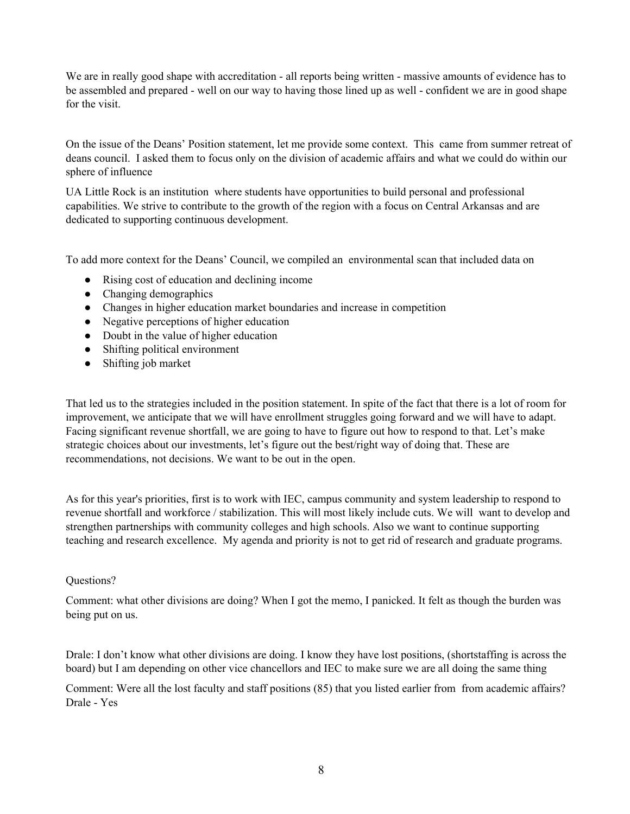We are in really good shape with accreditation - all reports being written - massive amounts of evidence has to be assembled and prepared - well on our way to having those lined up as well - confident we are in good shape for the visit.

On the issue of the Deans' Position statement, let me provide some context. This came from summer retreat of deans council. I asked them to focus only on the division of academic affairs and what we could do within our sphere of influence

UA Little Rock is an institution where students have opportunities to build personal and professional capabilities. We strive to contribute to the growth of the region with a focus on Central Arkansas and are dedicated to supporting continuous development.

To add more context for the Deans' Council, we compiled an environmental scan that included data on

- Rising cost of education and declining income
- Changing demographics
- Changes in higher education market boundaries and increase in competition
- Negative perceptions of higher education
- Doubt in the value of higher education
- Shifting political environment
- Shifting job market

That led us to the strategies included in the position statement. In spite of the fact that there is a lot of room for improvement, we anticipate that we will have enrollment struggles going forward and we will have to adapt. Facing significant revenue shortfall, we are going to have to figure out how to respond to that. Let's make strategic choices about our investments, let's figure out the best/right way of doing that. These are recommendations, not decisions. We want to be out in the open.

As for this year's priorities, first is to work with IEC, campus community and system leadership to respond to revenue shortfall and workforce / stabilization. This will most likely include cuts. We will want to develop and strengthen partnerships with community colleges and high schools. Also we want to continue supporting teaching and research excellence. My agenda and priority is not to get rid of research and graduate programs.

#### Questions?

Comment: what other divisions are doing? When I got the memo, I panicked. It felt as though the burden was being put on us.

Drale: I don't know what other divisions are doing. I know they have lost positions, (shortstaffing is across the board) but I am depending on other vice chancellors and IEC to make sure we are all doing the same thing

Comment: Were all the lost faculty and staff positions (85) that you listed earlier from from academic affairs? Drale - Yes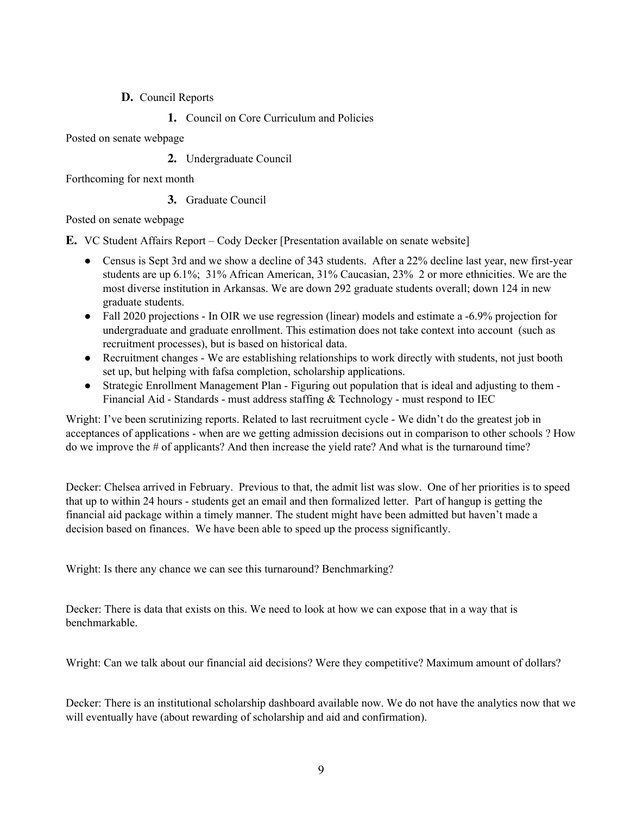## **D.** Council Reports

**1.** Council on Core Curriculum and Policies

Posted on senate webpage

**2.** Undergraduate Council

Forthcoming for next month

## **3.** Graduate Council

Posted on senate webpage

**E.** VC Student Affairs Report – Cody Decker [Presentation available on senate website]

- Census is Sept 3rd and we show a decline of 343 students. After a 22% decline last year, new first-year students are up 6.1%; 31% African American, 31% Caucasian, 23% 2 or more ethnicities. We are the most diverse institution in Arkansas. We are down 292 graduate students overall; down 124 in new graduate students.
- Fall 2020 projections In OIR we use regression (linear) models and estimate a -6.9% projection for undergraduate and graduate enrollment. This estimation does not take context into account (such as recruitment processes), but is based on historical data.
- Recruitment changes We are establishing relationships to work directly with students, not just booth set up, but helping with fafsa completion, scholarship applications.
- Strategic Enrollment Management Plan Figuring out population that is ideal and adjusting to them -Financial Aid - Standards - must address staffing & Technology - must respond to IEC

Wright: I've been scrutinizing reports. Related to last recruitment cycle - We didn't do the greatest job in acceptances of applications - when are we getting admission decisions out in comparison to other schools ? How do we improve the # of applicants? And then increase the yield rate? And what is the turnaround time?

Decker: Chelsea arrived in February. Previous to that, the admit list was slow. One of her priorities is to speed that up to within 24 hours - students get an email and then formalized letter. Part of hangup is getting the financial aid package within a timely manner. The student might have been admitted but haven't made a decision based on finances. We have been able to speed up the process significantly.

Wright: Is there any chance we can see this turnaround? Benchmarking?

Decker: There is data that exists on this. We need to look at how we can expose that in a way that is benchmarkable.

Wright: Can we talk about our financial aid decisions? Were they competitive? Maximum amount of dollars?

Decker: There is an institutional scholarship dashboard available now. We do not have the analytics now that we will eventually have (about rewarding of scholarship and aid and confirmation).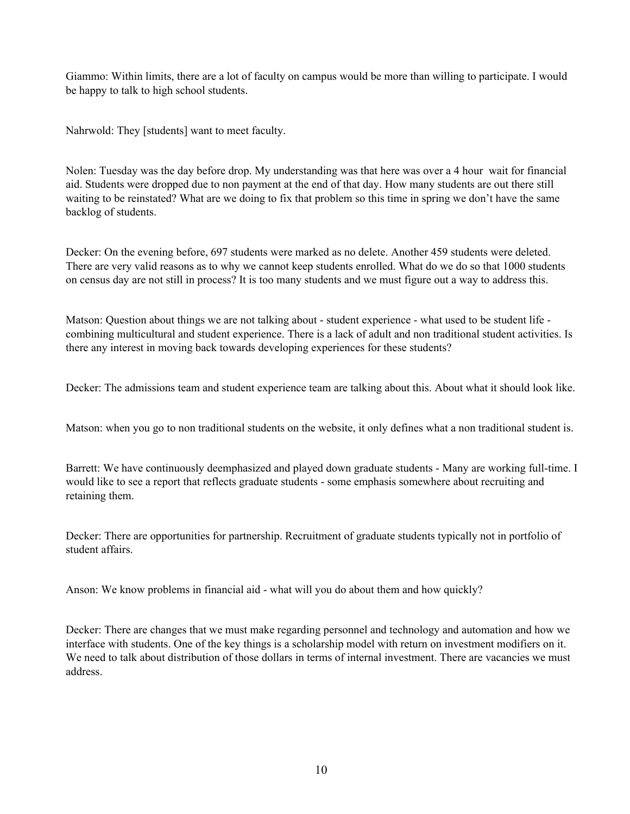Giammo: Within limits, there are a lot of faculty on campus would be more than willing to participate. I would be happy to talk to high school students.

Nahrwold: They [students] want to meet faculty.

Nolen: Tuesday was the day before drop. My understanding was that here was over a 4 hour wait for financial aid. Students were dropped due to non payment at the end of that day. How many students are out there still waiting to be reinstated? What are we doing to fix that problem so this time in spring we don't have the same backlog of students.

Decker: On the evening before, 697 students were marked as no delete. Another 459 students were deleted. There are very valid reasons as to why we cannot keep students enrolled. What do we do so that 1000 students on census day are not still in process? It is too many students and we must figure out a way to address this.

Matson: Question about things we are not talking about - student experience - what used to be student life combining multicultural and student experience. There is a lack of adult and non traditional student activities. Is there any interest in moving back towards developing experiences for these students?

Decker: The admissions team and student experience team are talking about this. About what it should look like.

Matson: when you go to non traditional students on the website, it only defines what a non traditional student is.

Barrett: We have continuously deemphasized and played down graduate students - Many are working full-time. I would like to see a report that reflects graduate students - some emphasis somewhere about recruiting and retaining them.

Decker: There are opportunities for partnership. Recruitment of graduate students typically not in portfolio of student affairs.

Anson: We know problems in financial aid - what will you do about them and how quickly?

Decker: There are changes that we must make regarding personnel and technology and automation and how we interface with students. One of the key things is a scholarship model with return on investment modifiers on it. We need to talk about distribution of those dollars in terms of internal investment. There are vacancies we must address.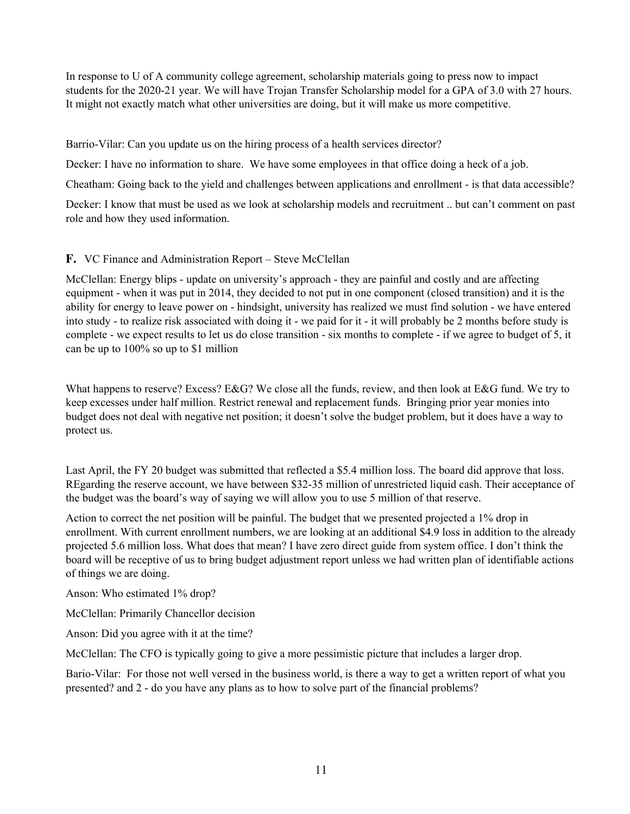In response to U of A community college agreement, scholarship materials going to press now to impact students for the 2020-21 year. We will have Trojan Transfer Scholarship model for a GPA of 3.0 with 27 hours. It might not exactly match what other universities are doing, but it will make us more competitive.

Barrio-Vilar: Can you update us on the hiring process of a health services director?

Decker: I have no information to share. We have some employees in that office doing a heck of a job.

Cheatham: Going back to the yield and challenges between applications and enrollment - is that data accessible?

Decker: I know that must be used as we look at scholarship models and recruitment .. but can't comment on past role and how they used information.

### **F.** VC Finance and Administration Report – Steve McClellan

McClellan: Energy blips - update on university's approach - they are painful and costly and are affecting equipment - when it was put in 2014, they decided to not put in one component (closed transition) and it is the ability for energy to leave power on - hindsight, university has realized we must find solution - we have entered into study - to realize risk associated with doing it - we paid for it - it will probably be 2 months before study is complete - we expect results to let us do close transition - six months to complete - if we agree to budget of 5, it can be up to 100% so up to \$1 million

What happens to reserve? Excess? E&G? We close all the funds, review, and then look at E&G fund. We try to keep excesses under half million. Restrict renewal and replacement funds. Bringing prior year monies into budget does not deal with negative net position; it doesn't solve the budget problem, but it does have a way to protect us.

Last April, the FY 20 budget was submitted that reflected a \$5.4 million loss. The board did approve that loss. REgarding the reserve account, we have between \$32-35 million of unrestricted liquid cash. Their acceptance of the budget was the board's way of saying we will allow you to use 5 million of that reserve.

Action to correct the net position will be painful. The budget that we presented projected a 1% drop in enrollment. With current enrollment numbers, we are looking at an additional \$4.9 loss in addition to the already projected 5.6 million loss. What does that mean? I have zero direct guide from system office. I don't think the board will be receptive of us to bring budget adjustment report unless we had written plan of identifiable actions of things we are doing.

Anson: Who estimated 1% drop?

McClellan: Primarily Chancellor decision

Anson: Did you agree with it at the time?

McClellan: The CFO is typically going to give a more pessimistic picture that includes a larger drop.

Bario-Vilar: For those not well versed in the business world, is there a way to get a written report of what you presented? and 2 - do you have any plans as to how to solve part of the financial problems?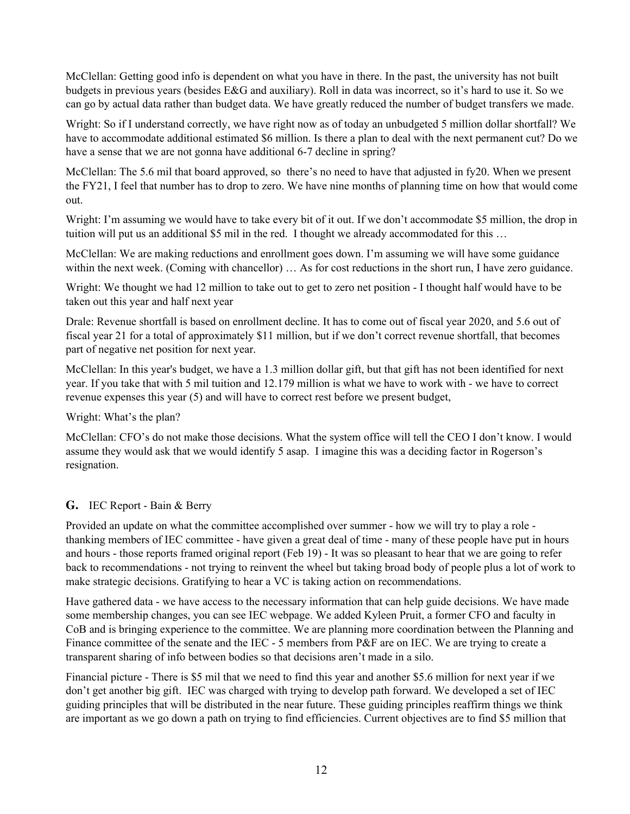McClellan: Getting good info is dependent on what you have in there. In the past, the university has not built budgets in previous years (besides E&G and auxiliary). Roll in data was incorrect, so it's hard to use it. So we can go by actual data rather than budget data. We have greatly reduced the number of budget transfers we made.

Wright: So if I understand correctly, we have right now as of today an unbudgeted 5 million dollar shortfall? We have to accommodate additional estimated \$6 million. Is there a plan to deal with the next permanent cut? Do we have a sense that we are not gonna have additional 6-7 decline in spring?

McClellan: The 5.6 mil that board approved, so there's no need to have that adjusted in fy20. When we present the FY21, I feel that number has to drop to zero. We have nine months of planning time on how that would come out.

Wright: I'm assuming we would have to take every bit of it out. If we don't accommodate \$5 million, the drop in tuition will put us an additional \$5 mil in the red. I thought we already accommodated for this …

McClellan: We are making reductions and enrollment goes down. I'm assuming we will have some guidance within the next week. (Coming with chancellor) ... As for cost reductions in the short run, I have zero guidance.

Wright: We thought we had 12 million to take out to get to zero net position - I thought half would have to be taken out this year and half next year

Drale: Revenue shortfall is based on enrollment decline. It has to come out of fiscal year 2020, and 5.6 out of fiscal year 21 for a total of approximately \$11 million, but if we don't correct revenue shortfall, that becomes part of negative net position for next year.

McClellan: In this year's budget, we have a 1.3 million dollar gift, but that gift has not been identified for next year. If you take that with 5 mil tuition and 12.179 million is what we have to work with - we have to correct revenue expenses this year (5) and will have to correct rest before we present budget,

Wright: What's the plan?

McClellan: CFO's do not make those decisions. What the system office will tell the CEO I don't know. I would assume they would ask that we would identify 5 asap. I imagine this was a deciding factor in Rogerson's resignation.

### **G.** IEC Report - Bain & Berry

Provided an update on what the committee accomplished over summer - how we will try to play a role thanking members of IEC committee - have given a great deal of time - many of these people have put in hours and hours - those reports framed original report (Feb 19) - It was so pleasant to hear that we are going to refer back to recommendations - not trying to reinvent the wheel but taking broad body of people plus a lot of work to make strategic decisions. Gratifying to hear a VC is taking action on recommendations.

Have gathered data - we have access to the necessary information that can help guide decisions. We have made some membership changes, you can see IEC webpage. We added Kyleen Pruit, a former CFO and faculty in CoB and is bringing experience to the committee. We are planning more coordination between the Planning and Finance committee of the senate and the IEC - 5 members from P&F are on IEC. We are trying to create a transparent sharing of info between bodies so that decisions aren't made in a silo.

Financial picture - There is \$5 mil that we need to find this year and another \$5.6 million for next year if we don't get another big gift. IEC was charged with trying to develop path forward. We developed a set of IEC guiding principles that will be distributed in the near future. These guiding principles reaffirm things we think are important as we go down a path on trying to find efficiencies. Current objectives are to find \$5 million that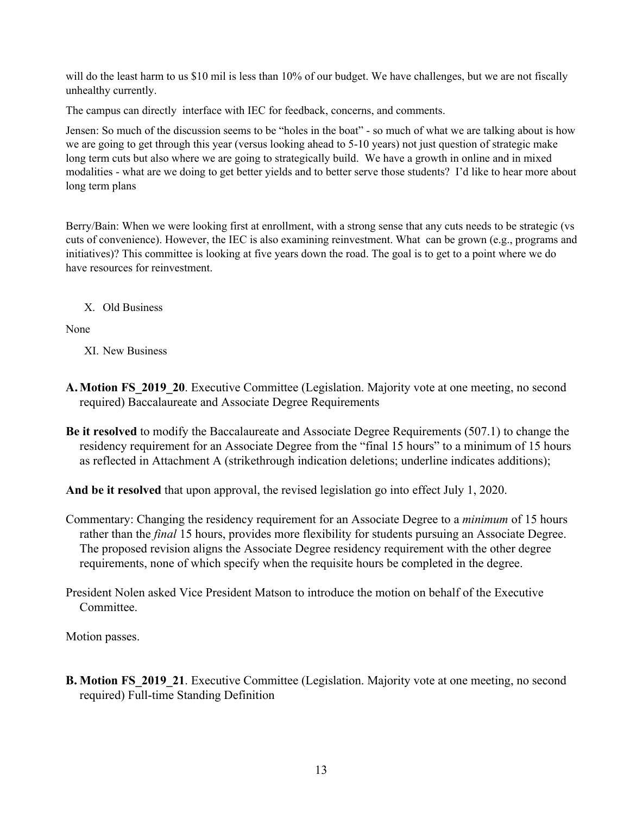will do the least harm to us \$10 mil is less than 10% of our budget. We have challenges, but we are not fiscally unhealthy currently.

The campus can directly interface with IEC for feedback, concerns, and comments.

Jensen: So much of the discussion seems to be "holes in the boat" - so much of what we are talking about is how we are going to get through this year (versus looking ahead to 5-10 years) not just question of strategic make long term cuts but also where we are going to strategically build. We have a growth in online and in mixed modalities - what are we doing to get better yields and to better serve those students? I'd like to hear more about long term plans

Berry/Bain: When we were looking first at enrollment, with a strong sense that any cuts needs to be strategic (vs cuts of convenience). However, the IEC is also examining reinvestment. What can be grown (e.g., programs and initiatives)? This committee is looking at five years down the road. The goal is to get to a point where we do have resources for reinvestment.

X. Old Business

None

XI. New Business

- **A.Motion FS\_2019\_20**. Executive Committee (Legislation. Majority vote at one meeting, no second required) Baccalaureate and Associate Degree Requirements
- **Be it resolved** to modify the Baccalaureate and Associate Degree Requirements (507.1) to change the residency requirement for an Associate Degree from the "final 15 hours" to a minimum of 15 hours as reflected in Attachment A (strikethrough indication deletions; underline indicates additions);

**And be it resolved** that upon approval, the revised legislation go into effect July 1, 2020.

- Commentary: Changing the residency requirement for an Associate Degree to a *minimum* of 15 hours rather than the *final* 15 hours, provides more flexibility for students pursuing an Associate Degree. The proposed revision aligns the Associate Degree residency requirement with the other degree requirements, none of which specify when the requisite hours be completed in the degree.
- President Nolen asked Vice President Matson to introduce the motion on behalf of the Executive **Committee**

Motion passes.

**B. Motion FS\_2019\_21**. Executive Committee (Legislation. Majority vote at one meeting, no second required) Full-time Standing Definition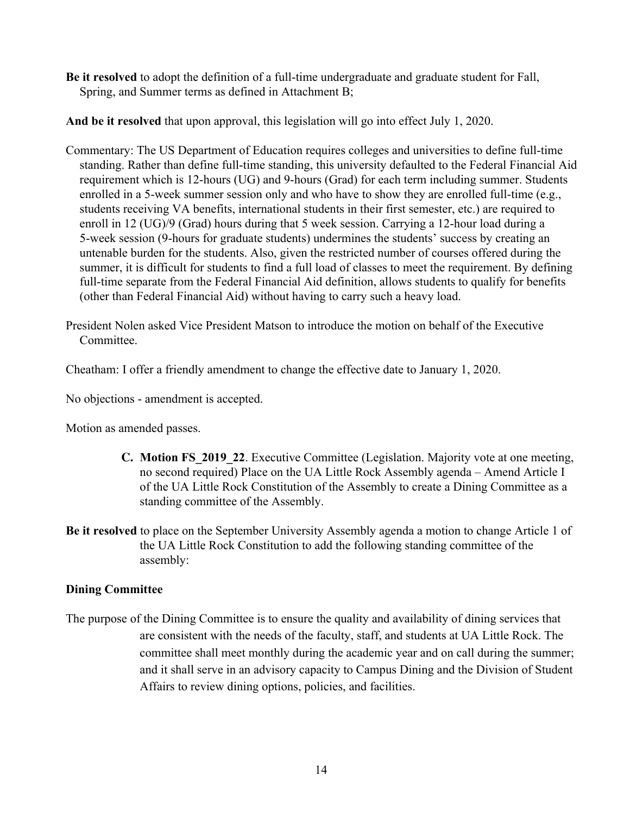**Be it resolved** to adopt the definition of a full-time undergraduate and graduate student for Fall, Spring, and Summer terms as defined in Attachment B;

**And be it resolved** that upon approval, this legislation will go into effect July 1, 2020.

- Commentary: The US Department of Education requires colleges and universities to define full-time standing. Rather than define full-time standing, this university defaulted to the Federal Financial Aid requirement which is 12-hours (UG) and 9-hours (Grad) for each term including summer. Students enrolled in a 5-week summer session only and who have to show they are enrolled full-time (e.g., students receiving VA benefits, international students in their first semester, etc.) are required to enroll in 12 (UG)/9 (Grad) hours during that 5 week session. Carrying a 12-hour load during a 5-week session (9-hours for graduate students) undermines the students' success by creating an untenable burden for the students. Also, given the restricted number of courses offered during the summer, it is difficult for students to find a full load of classes to meet the requirement. By defining full-time separate from the Federal Financial Aid definition, allows students to qualify for benefits (other than Federal Financial Aid) without having to carry such a heavy load.
- President Nolen asked Vice President Matson to introduce the motion on behalf of the Executive **Committee**

Cheatham: I offer a friendly amendment to change the effective date to January 1, 2020.

No objections - amendment is accepted.

Motion as amended passes.

- **C. Motion FS\_2019\_22**. Executive Committee (Legislation. Majority vote at one meeting, no second required) Place on the UA Little Rock Assembly agenda – Amend Article I of the UA Little Rock Constitution of the Assembly to create a Dining Committee as a standing committee of the Assembly.
- **Be it resolved** to place on the September University Assembly agenda a motion to change Article 1 of the UA Little Rock Constitution to add the following standing committee of the assembly:

# **Dining Committee**

The purpose of the Dining Committee is to ensure the quality and availability of dining services that are consistent with the needs of the faculty, staff, and students at UA Little Rock. The committee shall meet monthly during the academic year and on call during the summer; and it shall serve in an advisory capacity to Campus Dining and the Division of Student Affairs to review dining options, policies, and facilities.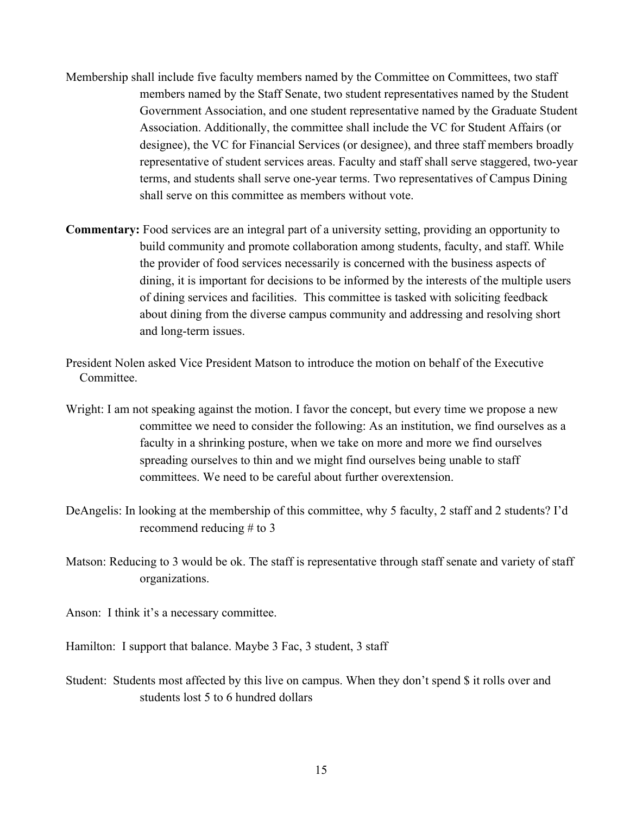- Membership shall include five faculty members named by the Committee on Committees, two staff members named by the Staff Senate, two student representatives named by the Student Government Association, and one student representative named by the Graduate Student Association. Additionally, the committee shall include the VC for Student Affairs (or designee), the VC for Financial Services (or designee), and three staff members broadly representative of student services areas. Faculty and staff shall serve staggered, two-year terms, and students shall serve one-year terms. Two representatives of Campus Dining shall serve on this committee as members without vote.
- **Commentary:** Food services are an integral part of a university setting, providing an opportunity to build community and promote collaboration among students, faculty, and staff. While the provider of food services necessarily is concerned with the business aspects of dining, it is important for decisions to be informed by the interests of the multiple users of dining services and facilities. This committee is tasked with soliciting feedback about dining from the diverse campus community and addressing and resolving short and long-term issues.
- President Nolen asked Vice President Matson to introduce the motion on behalf of the Executive **Committee**
- Wright: I am not speaking against the motion. I favor the concept, but every time we propose a new committee we need to consider the following: As an institution, we find ourselves as a faculty in a shrinking posture, when we take on more and more we find ourselves spreading ourselves to thin and we might find ourselves being unable to staff committees. We need to be careful about further overextension.
- DeAngelis: In looking at the membership of this committee, why 5 faculty, 2 staff and 2 students? I'd recommend reducing # to 3
- Matson: Reducing to 3 would be ok. The staff is representative through staff senate and variety of staff organizations.

Anson: I think it's a necessary committee.

Hamilton: I support that balance. Maybe 3 Fac, 3 student, 3 staff

Student: Students most affected by this live on campus. When they don't spend \$ it rolls over and students lost 5 to 6 hundred dollars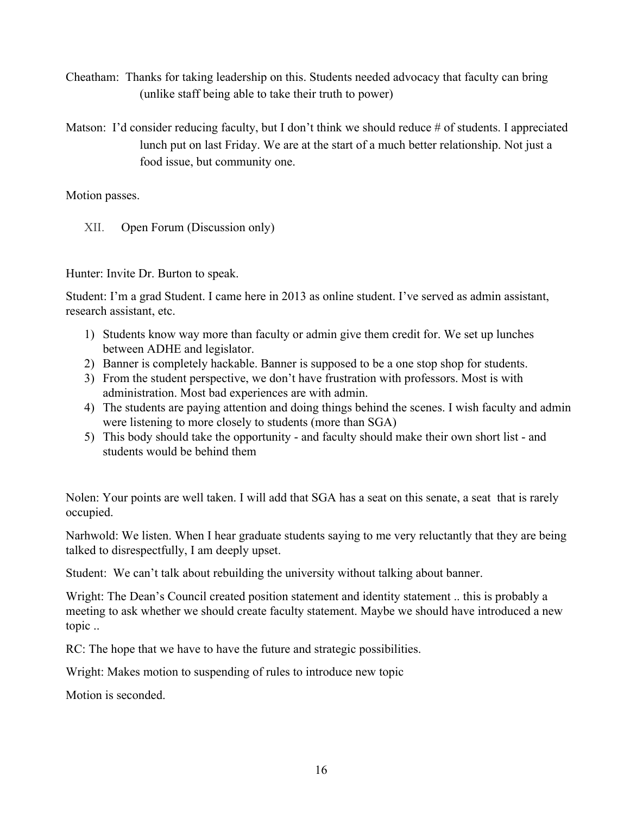- Cheatham: Thanks for taking leadership on this. Students needed advocacy that faculty can bring (unlike staff being able to take their truth to power)
- Matson: I'd consider reducing faculty, but I don't think we should reduce # of students. I appreciated lunch put on last Friday. We are at the start of a much better relationship. Not just a food issue, but community one.

Motion passes.

XII. Open Forum (Discussion only)

Hunter: Invite Dr. Burton to speak.

Student: I'm a grad Student. I came here in 2013 as online student. I've served as admin assistant, research assistant, etc.

- 1) Students know way more than faculty or admin give them credit for. We set up lunches between ADHE and legislator.
- 2) Banner is completely hackable. Banner is supposed to be a one stop shop for students.
- 3) From the student perspective, we don't have frustration with professors. Most is with administration. Most bad experiences are with admin.
- 4) The students are paying attention and doing things behind the scenes. I wish faculty and admin were listening to more closely to students (more than SGA)
- 5) This body should take the opportunity and faculty should make their own short list and students would be behind them

Nolen: Your points are well taken. I will add that SGA has a seat on this senate, a seat that is rarely occupied.

Narhwold: We listen. When I hear graduate students saying to me very reluctantly that they are being talked to disrespectfully, I am deeply upset.

Student: We can't talk about rebuilding the university without talking about banner.

Wright: The Dean's Council created position statement and identity statement .. this is probably a meeting to ask whether we should create faculty statement. Maybe we should have introduced a new topic ..

RC: The hope that we have to have the future and strategic possibilities.

Wright: Makes motion to suspending of rules to introduce new topic

Motion is seconded.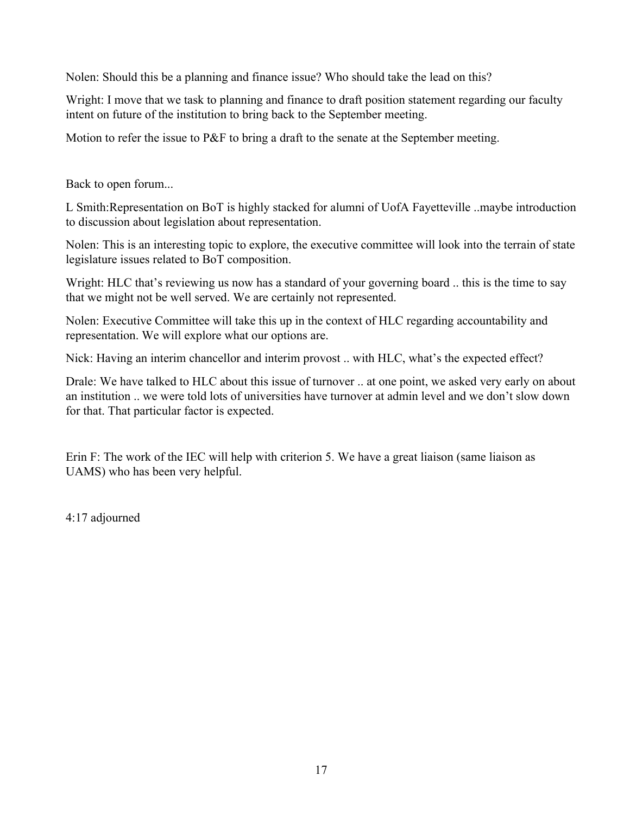Nolen: Should this be a planning and finance issue? Who should take the lead on this?

Wright: I move that we task to planning and finance to draft position statement regarding our faculty intent on future of the institution to bring back to the September meeting.

Motion to refer the issue to P&F to bring a draft to the senate at the September meeting.

Back to open forum...

L Smith:Representation on BoT is highly stacked for alumni of UofA Fayetteville ..maybe introduction to discussion about legislation about representation.

Nolen: This is an interesting topic to explore, the executive committee will look into the terrain of state legislature issues related to BoT composition.

Wright: HLC that's reviewing us now has a standard of your governing board .. this is the time to say that we might not be well served. We are certainly not represented.

Nolen: Executive Committee will take this up in the context of HLC regarding accountability and representation. We will explore what our options are.

Nick: Having an interim chancellor and interim provost .. with HLC, what's the expected effect?

Drale: We have talked to HLC about this issue of turnover .. at one point, we asked very early on about an institution .. we were told lots of universities have turnover at admin level and we don't slow down for that. That particular factor is expected.

Erin F: The work of the IEC will help with criterion 5. We have a great liaison (same liaison as UAMS) who has been very helpful.

4:17 adjourned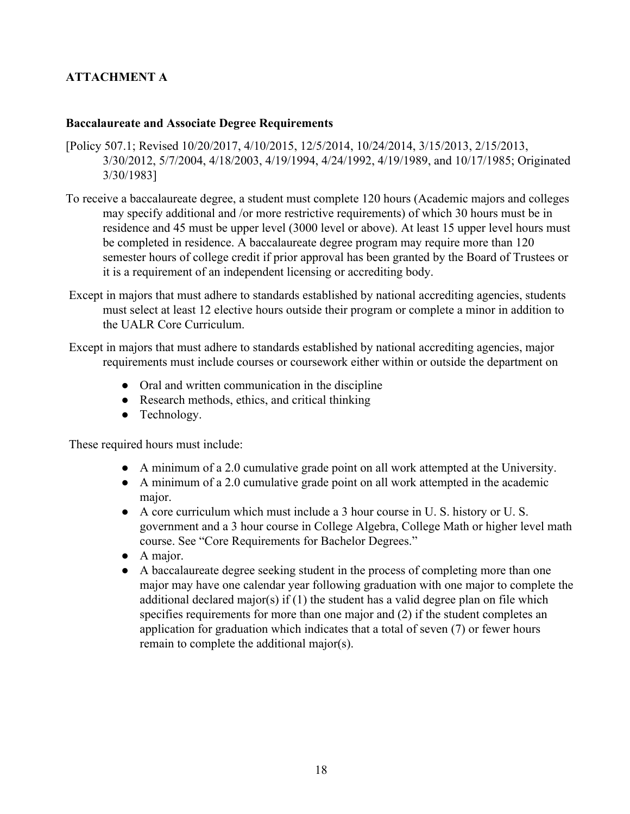# **ATTACHMENT A**

## **Baccalaureate and Associate Degree Requirements**

- [Policy 507.1; Revised 10/20/2017, 4/10/2015, 12/5/2014, 10/24/2014, 3/15/2013, 2/15/2013, 3/30/2012, 5/7/2004, 4/18/2003, 4/19/1994, 4/24/1992, 4/19/1989, and 10/17/1985; Originated 3/30/1983]
- To receive a baccalaureate degree, a student must complete 120 hours (Academic majors and colleges may specify additional and /or more restrictive requirements) of which 30 hours must be in residence and 45 must be upper level (3000 level or above). At least 15 upper level hours must be completed in residence. A baccalaureate degree program may require more than 120 semester hours of college credit if prior approval has been granted by the Board of Trustees or it is a requirement of an independent licensing or accrediting body.
- Except in majors that must adhere to standards established by national accrediting agencies, students must select at least 12 elective hours outside their program or complete a minor in addition to the UALR Core Curriculum.

 Except in majors that must adhere to standards established by national accrediting agencies, major requirements must include courses or coursework either within or outside the department on

- Oral and written communication in the discipline
- Research methods, ethics, and critical thinking
- Technology.

These required hours must include:

- A minimum of a 2.0 cumulative grade point on all work attempted at the University.
- A minimum of a 2.0 cumulative grade point on all work attempted in the academic major.
- A core curriculum which must include a 3 hour course in U. S. history or U. S. government and a 3 hour course in College Algebra, College Math or higher level math course. See "Core Requirements for Bachelor Degrees."
- A major.
- A baccalaureate degree seeking student in the process of completing more than one major may have one calendar year following graduation with one major to complete the additional declared major(s) if (1) the student has a valid degree plan on file which specifies requirements for more than one major and (2) if the student completes an application for graduation which indicates that a total of seven (7) or fewer hours remain to complete the additional major(s).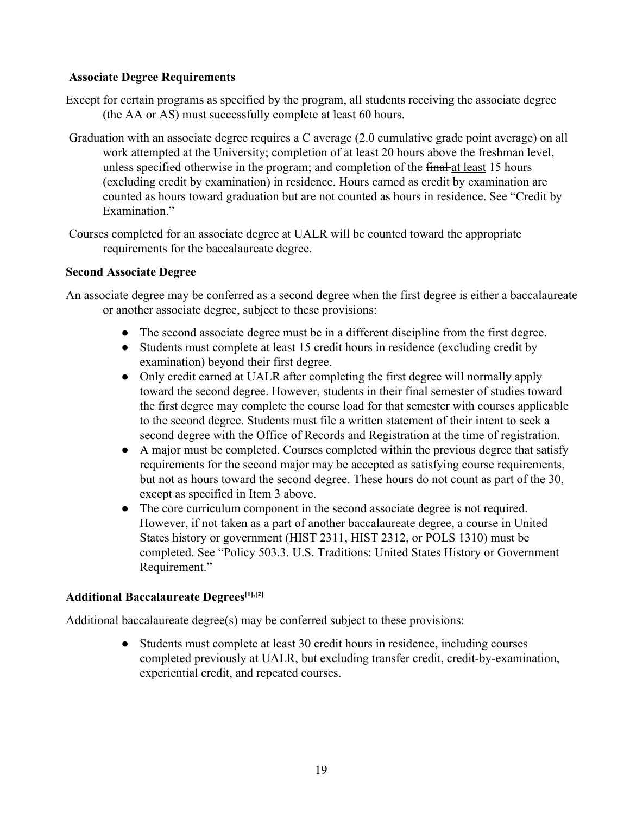## **Associate Degree Requirements**

- Except for certain programs as specified by the program, all students receiving the associate degree (the AA or AS) must successfully complete at least 60 hours.
- Graduation with an associate degree requires a C average (2.0 cumulative grade point average) on all work attempted at the University; completion of at least 20 hours above the freshman level, unless specified otherwise in the program; and completion of the final at least 15 hours (excluding credit by examination) in residence. Hours earned as credit by examination are counted as hours toward graduation but are not counted as hours in residence. See "Credit by Examination"
- Courses completed for an associate degree at UALR will be counted toward the appropriate requirements for the baccalaureate degree.

### **Second Associate Degree**

An associate degree may be conferred as a second degree when the first degree is either a baccalaureate or another associate degree, subject to these provisions:

- The second associate degree must be in a different discipline from the first degree.
- Students must complete at least 15 credit hours in residence (excluding credit by examination) beyond their first degree.
- Only credit earned at UALR after completing the first degree will normally apply toward the second degree. However, students in their final semester of studies toward the first degree may complete the course load for that semester with courses applicable to the second degree. Students must file a written statement of their intent to seek a second degree with the Office of Records and Registration at the time of registration.
- A major must be completed. Courses completed within the previous degree that satisfy requirements for the second major may be accepted as satisfying course requirements, but not as hours toward the second degree. These hours do not count as part of the 30, except as specified in Item 3 above.
- The core curriculum component in the second associate degree is not required. However, if not taken as a part of another baccalaureate degree, a course in United States history or government (HIST 2311, HIST 2312, or POLS 1310) must be completed. See "Policy 503.3. U.S. Traditions: United States History or Government Requirement."

### **Additional Baccalaureate Degrees[1],[2]**

Additional baccalaureate degree(s) may be conferred subject to these provisions:

● Students must complete at least 30 credit hours in residence, including courses completed previously at UALR, but excluding transfer credit, credit-by-examination, experiential credit, and repeated courses.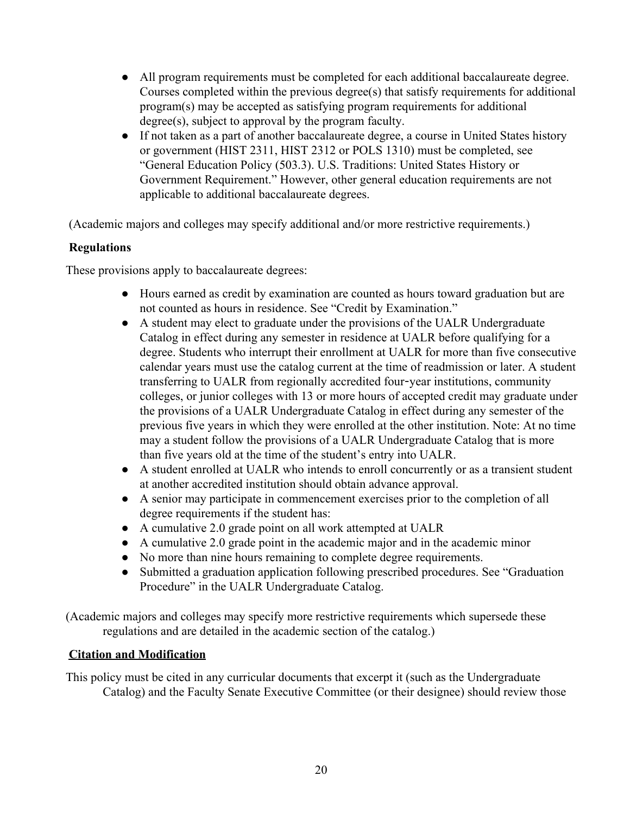- All program requirements must be completed for each additional baccalaureate degree. Courses completed within the previous degree(s) that satisfy requirements for additional program(s) may be accepted as satisfying program requirements for additional degree(s), subject to approval by the program faculty.
- If not taken as a part of another baccalaureate degree, a course in United States history or government (HIST 2311, HIST 2312 or POLS 1310) must be completed, see "General Education Policy (503.3). U.S. Traditions: United States History or Government Requirement." However, other general education requirements are not applicable to additional baccalaureate degrees.

(Academic majors and colleges may specify additional and/or more restrictive requirements.)

# **Regulations**

These provisions apply to baccalaureate degrees:

- Hours earned as credit by examination are counted as hours toward graduation but are not counted as hours in residence. See "Credit by Examination."
- A student may elect to graduate under the provisions of the UALR Undergraduate Catalog in effect during any semester in residence at UALR before qualifying for a degree. Students who interrupt their enrollment at UALR for more than five consecutive calendar years must use the catalog current at the time of readmission or later. A student transferring to UALR from regionally accredited four-year institutions, community colleges, or junior colleges with 13 or more hours of accepted credit may graduate under the provisions of a UALR Undergraduate Catalog in effect during any semester of the previous five years in which they were enrolled at the other institution. Note: At no time may a student follow the provisions of a UALR Undergraduate Catalog that is more than five years old at the time of the student's entry into UALR.
- A student enrolled at UALR who intends to enroll concurrently or as a transient student at another accredited institution should obtain advance approval.
- A senior may participate in commencement exercises prior to the completion of all degree requirements if the student has:
- A cumulative 2.0 grade point on all work attempted at UALR
- A cumulative 2.0 grade point in the academic major and in the academic minor
- No more than nine hours remaining to complete degree requirements.
- Submitted a graduation application following prescribed procedures. See "Graduation Procedure" in the UALR Undergraduate Catalog.

(Academic majors and colleges may specify more restrictive requirements which supersede these regulations and are detailed in the academic section of the catalog.)

# **Citation and Modification**

This policy must be cited in any curricular documents that excerpt it (such as the Undergraduate Catalog) and the Faculty Senate Executive Committee (or their designee) should review those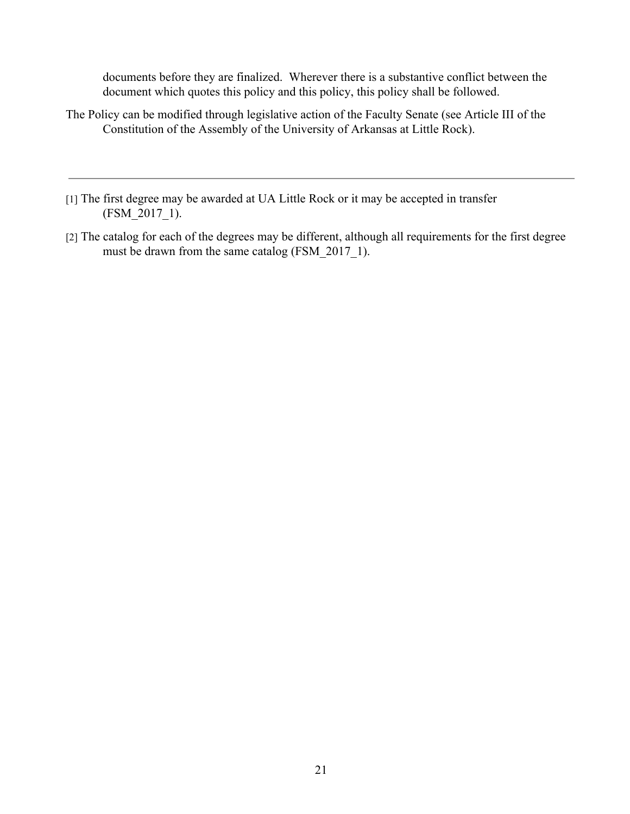documents before they are finalized. Wherever there is a substantive conflict between the document which quotes this policy and this policy, this policy shall be followed.

- The Policy can be modified through legislative action of the Faculty Senate (see Article III of the Constitution of the Assembly of the University of Arkansas at Little Rock).
- [1] The first degree may be awarded at UA Little Rock or it may be accepted in transfer (FSM\_2017\_1).
- [2] The catalog for each of the degrees may be different, although all requirements for the first degree must be drawn from the same catalog (FSM 2017 1).